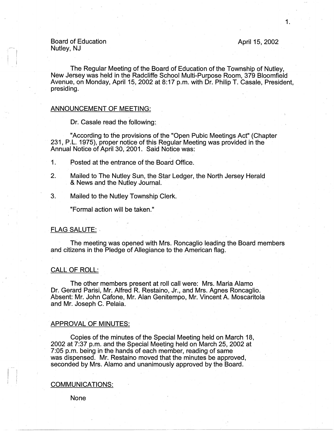Board of Education Nutley, NJ

 $\mathbf{I}$ 

#### April 15, 2002

The Regular Meeting of the Board of Education of the Township of Nutley, New Jersey was held in the Radcliffe School Multi-Purpose Room, 379 Bloomfield Avenue, on Monday, April 15, 2002 at 8:17 p.m. with Dr. Philip T. Casale, President, presiding.

#### ANNOUNCEMENT OF MEETING:

Dr. Casale read the following:

"According to the provisions of the "Open Pubic Meetings Act" (Chapter 231, P.L. 1975), proper notice of this Regular Meeting was provided in the Annual Notice of April 30, 2001. Said Notice was:

1. Posted at the entrance of the Board Office.

- 2. Mailed to The Nutley Sun, the Star Ledger, the North Jersey Herald & News and the Nutley Journal.
- 3. Mailed to the Nutley Township Clerk.

"Formal action will be taken."

#### FLAG SALUTE: ,

The meeting was opened with Mrs. Roncaglio leading the Board members and citizens in the Pledge of Allegiance to the American flag.

### CALL OF ROLL:

The other members present at roll call were: Mrs. Maria Alamo . Dr. Gerard Parisi, Mr. Alfred R. Restaino, Jr., and Mrs. Agnes Roncaglio. Absent: Mr. John Catone, Mr. Alan Genitempo, Mr. Vincent A. Moscaritola and Mr. Joseph C. Pelaia.

#### APPROVAL OF MINUTES:

Copies of the minutes of the Special Meeting held on March 18, 2002 at 7:37 p.m. and the Special Meeting held on March 25, 2002 at 7:05 p.m. being. in the hands of each member, reading of same was dispensed. Mr. Restaino moved that the minutes be approved, seconded by Mrs. Alamo and unanimously approved by the Board.

#### **COMMUNICATIONS:**

None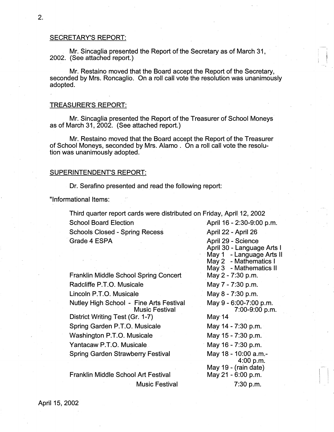#### SECRETARY'S REPORT:

Mr. Sincaglia presented the Report of the Secretary as of March 31, 2002. (See attached report.)

Mr. Restaino moved that the Board accept the Report of the Secretary, seconded by Mrs. Roncaglio. On a roll call vote the resolution was unanimously adopted.

#### TREASURER'S REPORT:

Mr. Sincaglia presented the Report of the Treasurer of School Moneys as of March 31, 2002. (See attached report.)

Mr. Restaino moved that the Board accept the Report of the Treasurer of School Moneys, seconded by Mrs. Alamo . On a roll call vote the resolution' was unanimously adopted.

### SUPERINTENDENT'S REPORT:

Dr. Serafino presented and read the following report:

"Informational Items:

Third quarter report cards were distributed on Friday, April 12, 2002 School Board Election **April 16 - 2:30-9:00 p.m.** Schools Closed - Spring Recess April 22 - April 26

Franklin Middle School Spring Concert Radcliffe P.T.O. Musicale Lincoln P.T.O. Musicale Nutley High School - Fine Arts Festival **Music Festival** District Writing Test (Gr. 1-7) Spring Garden P.T.O. Musicale Washington P.T.O. Musicale Yantacaw P.T.O. Musicale. Spring Garden Strawberry Festival

Franklin Middle School Art Festival Music Festival

**Grade 4 ESPA April 29 - Science April 29 - Science** April 30 - Language Arts I May 1 - Language Arts II May 2 - Mathematics I May 3 - Mathematics 11 . May 2 - 7:30 p.m. May 7 - 7:30 p.m. May 8 - 7:30 p.m. May 9 - 6:00-7:00 p.m. 7:00-9:00 p.m. May-14 May 14 - 7:30 p.m. May 15 - 7:30 p.m. · May 16 - 7:30 p.m. May 18 - 10:00 a.m.- 4:00 p.m; May 19 - (rain date) May 21 - 6:00 p.m. 7:30 p.m.

 $\blacksquare$ I I

 $\mathbf{I}$  is a set of  $\mathbf{I}$ 

 $\vert \ \ \vert$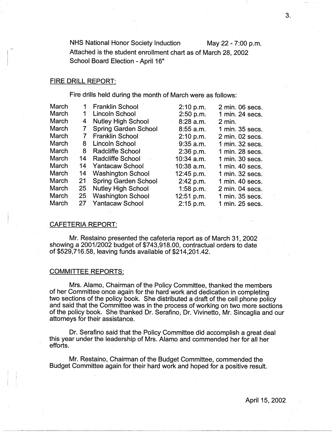NHS National Honor Society Induction May 22 - 7:00 p.m. Attached is the student enrollment chart as of March 28, 2002 School Board Election - April 16"

### FIRE DRILL REPORT:

Fire drills held during the month of March were as follows:

| March | 1  | <b>Franklin School</b>      | 2:10 p.m.    | 2 min. 06 secs.   |
|-------|----|-----------------------------|--------------|-------------------|
| March |    | Lincoln School              | 2:50 p.m.    | 1 min. 24 secs.   |
| March | 4  | <b>Nutley High School</b>   | $8:28$ a.m.  | $2 \text{ min}$ . |
| March |    | <b>Spring Garden School</b> | $8:55$ a.m.  | 1 min. 35 secs.   |
| March |    | <b>Franklin School</b>      | 2:10 p.m.    | 2 min. 02 secs.   |
| March | 8  | <b>Lincoln School</b>       | $9:35$ a.m.  | 1 min. 32 secs.   |
| March | 8  | <b>Radcliffe School</b>     | 2:36 p.m.    | 1 min. 28 secs.   |
| March | 14 | Radcliffe School            | 10:34 a.m.   | 1 min. 30 secs.   |
| March | 14 | <b>Yantacaw School</b>      | $10:38$ a.m. | 1 min. 40 secs.   |
| March | 14 | <b>Washington School</b>    | 12:45 p.m.   | 1 min. 32 secs.   |
| March | 21 | <b>Spring Garden School</b> | 2:42 p.m.    | 1 min. 40 secs.   |
| March | 25 | <b>Nutley High School</b>   | $1:58$ p.m.  | 2 min. 04 secs.   |
| March | 25 | <b>Washington School</b>    | 12:51 p.m.   | 1 min. 35 secs.   |
| March | 27 | <b>Yantacaw School</b>      | 2:15 p.m.    | 1 min. 25 secs.   |
|       |    |                             |              |                   |

#### CAFETERIA REPORT:

Mr. Restaino presented the cafeteria report as of March 31, 2002 showing a 2001/2002 budget of \$743,918.00, contractual orders to date of \$529,716.58, leaving funds available of \$214,201.42.

#### COMMITIEE REPORTS:

I i l

Mrs. Alamo, Chairman of the Policy Committee, thanked the members of her Committee once again for the hard work arid dedication in completing two sections of the policy book. She distributed a draft of the cell phone policy and said that the Committee was in the process of working on two more sections of the policy book. She thanked Dr. Serafino, Dr. Vivinetto, Mr. Sincaglia and our attorneys for their assistance.

Dr. Serafino said that the Policy Committee did accomplish a great deal this year under the leadership of Mrs. Alamo and commended her for all her efforts.

Mr. Restaino, Chairman of the Budget Committee, commended the Budget Committee again for their hard work and hoped for a positive result.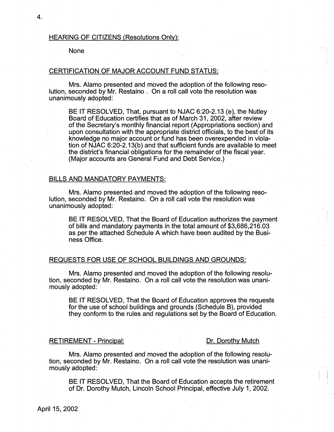#### HEARING OF CITIZENS (Resolutions Only):

#### None

# CERTIFICATION OF MAJOR ACCOUNT FUND STATUS:

Mrs. Alamo presented and moved the adoption of the following resolution, seconded by Mr. Restaino . On a roll call vote the resolution was unanimously adopted:

BE IT RESOLVED, That, pursuant to NJAC 6:20-2.13 (e), the Nutley Board of Education certifies that as of March 31, 2002, after review of the Secretary's monthly financial report (Appropriations section) and upon consultation with the appropriate district officials, to the best of its knowledge no major account or fund has been overexpended in violation of NJAC 6:20-2.13(b) and that sufficient funds are available to meet \_ the district's financial obligations for the remainder of the fiscal year. (Major accounts are General Fund and Debt Service.)

#### BILLS AND MANDATORY PAYMENTS:

Mrs. Alamo presented-and moved the adoption of the following resolution, seconded by Mr. Restaino. On a roll call vote the resolution was· unanimously adopted:

BE IT RESOLVED, That the Board of Education authorizes the payment of bills and mandatory\_ payments in the total amount of \$3,686,216.03 as per the attached Schedule A which have been audited by the Business Office.

#### REQUESTS FOR USE OF SCHOOL BUILDINGS AND GROUNDS:

Mrs. Alamo presented and moved the adoption of the following resolution, seconded by Mr. Restaino. On a roll call vote the resolution was unanimously adopted:

BE IT RESOLVED, That the Board of Education approves the requests for the use of school buildings and grounds (Schedule B), provided they conform to the rules and regulations set by the Board of Education.

#### -RETIREMENT - Principal: Dr. Dorothy Mutch

Mrs. Alamo presented and moved the adoption of the following resolution, seconded by Mr. Restaino. On a roll call vote the resolution was unanimously adopted:

BE IT RESOLVED, That the Board of Education accepts the retirement of Dr. Dorothy Mutch, Lincoln School Principal, effective July 1, 2002.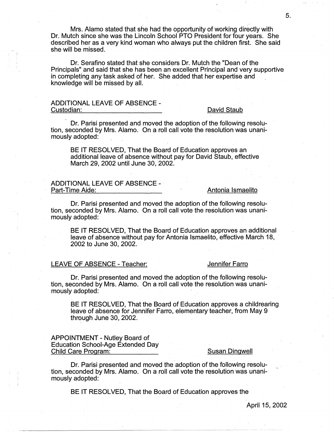Mrs. Alamo stated that she had the opportunity of working directly with Dr. Mutch since she was the Lincoln School PTO President for four years. She described her as a very kind woman who always put the children first. She said she will be missed.

Dr. Serafino stated that she considers Dr. Mutch the "Dean of the Principals" and said that she has been an excellent Principal and very supportive in completing any task asked of her. She added that her expertise and knowledge will be missed by all.

# ADDITIONAL LEAVE OF ABSENCE -<br>Custodian:

#### David Staub

Dr. Parisi presented and moved the adoption of the following resolution, seconded by Mrs. Alamo. On a roll call vote the resolution was unanimously adopted:

BE IT RESOLVED, That the Board of Education approves an additional leave of absence without pay for David Staub, effective March 29, 2002 until June 30, 2002.

# ADDITIONAL LEAVE OF ABSENCE -<br>Part-Time Aide:

#### Antonia Ismaelito

Dr. Parisi presented and moved the adoption of the following resolution; seconded by Mrs. Alamo. On a roll call vote the resolution was unanimously adopted:

BE IT RESOLVED, That the Board of Education approves an additional leave of absence without pay for Antonia Ismaelito, effective March 18, 2002 to June 30, 2002.

### LEAVE OF ABSENCE - Teacher: Jennifer Farro

Dr. Parisi presented and moved the adoption of the following resolution, seconded by Mrs. Alamo. On a roll call vote the resolution was unanimously adopted:

BE IT RESOLVED, That the Board of Education approves a childrearing leave of absence for Jennifer Farro, elementary teacher, from May 9 through June 30, 2002.

#### APPOINTMENT - Nutley Board of Education School-Age Extended Day Child Care Program: Susan Dingwell

Dr. Parisi presented and moved the adoption of the following resolution, seconded by Mrs. Alamo. On a roll call vote the resolution was unanimously adopted:

BE IT RESOLVED, That the Board of Education approves the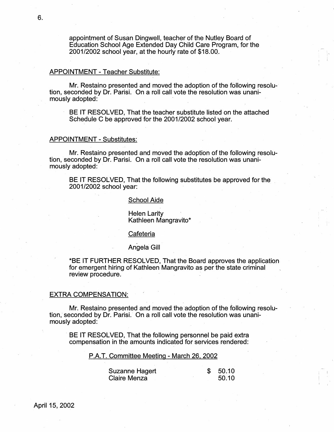appointment of Susan Dingwell, teacher of the Nutley Board of Education School Age Extended Day Child Care Program, for the 2001/2002 school year, at the hourly rate of \$18.00.

### APPOINTMENT - Teacher Substitute:

Mr. Restaino presented and moved the adoption of the following resolution, seconded by Dr. Parisi. On a roll call vote the resolution was unanimously adopted:

BE IT RESOLVED, That the teacher substitute listed on the attached Schedule C be approved for the 2001/2002 school year.

#### APPOINTMENT - Substitutes:

Mr. Restaino presented and moved the adoption of the following resolution, seconded by Dr. Parisi. On a roll call vote the resolution was unanimously adopted:

BE IT RESOLVED, That the following substitutes be approved for the 2001/2002 school year:

#### School Aide

Helen Larity Kathleen Mangravito\*

#### **Cafeteria**

#### Angela Gill

\*BE IT FURTHER RESOLVED, That the Board approves the application for emergent hiring of Kathleen Mangravito as per the state criminal review procedure.

#### EXTRA COMPENSATION:

Mr. Restaino presented and moved the adoption of the following resolution, seconded by Dr. Parisi. On a roll call vote the resolution was unanimously adopted:

BE IT RESOLVED, That the following personnel be paid extra compensation in the amounts indicated for services rendered:

P.A.T. Committee Meeting - March 26, 2002

| Suzanne Hagert |  | \$50.10 |
|----------------|--|---------|
| Claire Menza   |  | 50.10   |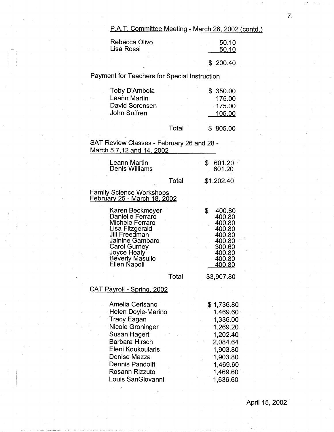P.A.T. Committee Meeting - March 26, 2002 (contd.)

| Rebecca Olivo<br>Lisa Rossi | 50.10<br>50.10 |
|-----------------------------|----------------|
|                             | \$200.40       |

Payment for Teachers for Special Instruction

| Toby D'Ambola       | \$350.00  |
|---------------------|-----------|
| <b>Leann Martin</b> | 175.00    |
| David Sorensen      | $-175.00$ |
| John Suffren        | 105.00    |
|                     |           |

Total \$ 805.00

SAT Review Classes - February 26 and 28 - March 5,7. 12 and 14, 2002

| Leann Martin<br>Denis Williams                                                                                                                                                         |       | \$<br>601.20<br>601.20                                                                                 |
|----------------------------------------------------------------------------------------------------------------------------------------------------------------------------------------|-------|--------------------------------------------------------------------------------------------------------|
|                                                                                                                                                                                        | Total | \$1,202.40                                                                                             |
| <b>Family Science Workshops</b><br>February 25 - March 18, 2002                                                                                                                        |       |                                                                                                        |
| Karen Beckmeyer<br>Danielle Ferraro<br>Michele Ferraro<br>Lisa Fitzgerald<br>Jill Freedman<br>Jainine Gambaro<br><b>Carol Gurney</b><br>Joyce Healy<br>Beverly Masullo<br>Ellen Napoli |       | \$<br>400.80<br>400.80<br>400.80<br>400.80<br>400.80<br>400.80<br>300.60<br>400.80<br>400.80<br>400.80 |
|                                                                                                                                                                                        | Total | \$3,907.80                                                                                             |
| <b>CAT Payroll - Spring, 2002</b>                                                                                                                                                      |       |                                                                                                        |
| Amalia Caricano                                                                                                                                                                        |       | 0.172600                                                                                               |

| Amelia Cerisano           | \$1,736.80 |
|---------------------------|------------|
| <b>Helen Doyle-Marino</b> | 1,469.60   |
| <b>Tracy Eagan</b>        | 1,336.00   |
| <b>Nicole Groninger</b>   | 1,269.20   |
| Susan Hagert              | 1,202.40   |
| <b>Barbara Hirsch</b>     | 2,084.64   |
| Eleni Koukoularis         | 1,903.80   |
| Denise Mazza              | 1,903.80   |
| Dennis Pandolfi           | 1,469.60   |
| <b>Rosann Rizzuto</b>     | 1,469.60   |
| Louis SanGiovanni         | 1,636.60   |
|                           |            |

7.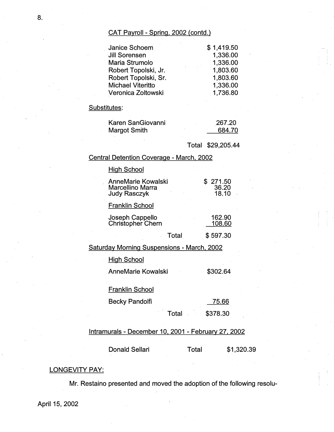# CAT Payroll - Spring, 2002 (contd.)

| \$1,419.50 |
|------------|
| 1,336.00   |
| 1,336.00   |
| 1,803.60   |
| 1,803.60   |
| 1,336.00   |
| 1,736.80   |
|            |

# Substitutes:

| Karen SanGiovanni | 267.20 |
|-------------------|--------|
| Margot Smith      | 684.70 |

Total \$29,205.44

i '

# Central Detention Coverage - March. 2002

# **High School**

| <b>AnneMarie Kowalski</b><br>Marcellino Marra<br><b>Judy Rasczyk</b> |       | 271.50<br>36.20<br>18.10 |
|----------------------------------------------------------------------|-------|--------------------------|
| <b>Franklin School</b>                                               |       |                          |
| Joseph Cappello<br>Christopher Chern                                 |       | 162.90<br>108.60         |
|                                                                      | Total | \$597.30                 |
| <b>Saturday Morning Suspensions - March, 2002</b>                    |       |                          |
| High School                                                          |       |                          |

AnneMarie Kowalski \$302.64

# Franklin School

| Becky Pandolfi |  | 75.66 |  |
|----------------|--|-------|--|
|                |  |       |  |

Total -\$378.30

# lntramurals - December 10, 2001 - February 27, 2002.

Donald Sellari Total \$1,320.39

# **LONGEVITY PAY:**

Mr. Restaino presented and moved the adoption of the following resolu-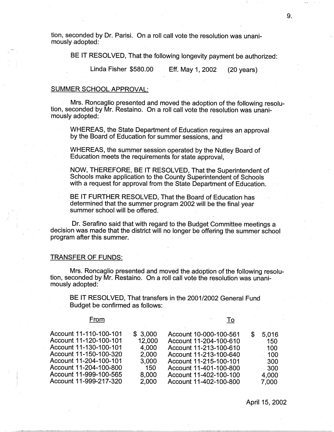tion, seconded by Dr. Parisi. On a roll call vote the resolution was unanimously adopted:

BE IT RESOLVED, That the following longevity payment be authorized:

Linda Fisher \$580.00 Eff. May 1, 2002 (20 years)

### SUMMER SCHOOL APPROVAL:

Mrs. Roncaglio presented and moved the adoption of the following resolution, seconded by Mr. Restaino. On a roll call vote the resolution was unanimously adopted:

WHEREAS, the State Department of Education requires an approval by the Board of Education for summer sessions, and

WHEREAS, the summer session operated by the Nutley Board of Education meets the requirements for state approval.

NOW, THEREFORE, BE IT RESOLVED, That the Superintendent of Schools make application to the County Superintendent of Schools with a request for approval from the State Department of Education.

BE IT FURTHER RESOLVED, That the Board of Education has determined that the summer program 2002 will be the final year summer school-will be offered.

Dr. Serafino said that with regard to the Budget Committee meetings a decision was made that the district will no longer be offering the summer school program after this summer.

#### TRANSFER OF FUNDS:

Mrs. Roncaglio presented and moved the adoption of the following resolution, seconded by Mr. Restaino. On a roll call vote the resolution was unanimously adopted:

BE IT RESOLVED, That transfers in the 2001/2002 General Fund Budget be confirmed as follows:

#### **From**

To

| Account 11-110-100-101 | \$3,000 | Account 10-000-100-561 | \$. | 5.016 |
|------------------------|---------|------------------------|-----|-------|
| Account 11-120-100-101 | 12,000  | Account 11-204-100-610 |     | 150   |
| Account 11-130-100-101 | 4.000   | Account 11-213-100-610 |     | 100   |
| Account 11-150-100-320 | 2,000   | Account 11-213-100-640 |     | 100   |
| Account 11-204-100-101 | 3,000   | Account 11-215-100-101 |     | 300   |
| Account 11-204-100-800 | 150     | Account 11-401-100-800 |     | 300   |
| Account 11-999-100-565 | 8,000   | Account 11-402-100-100 |     | 4.000 |
| Account 11-999-217-320 | 2,000   | Account 11-402-100-800 |     | 7,000 |
|                        |         |                        |     |       |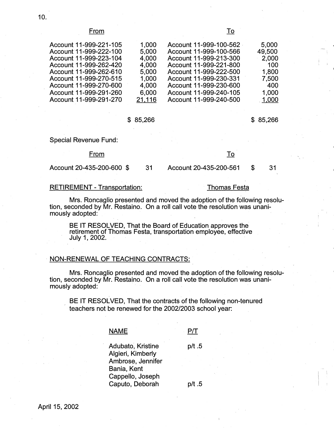#### From To

| Account 11-999-221-105 | 1,000  | Account 11-999-100-562 | 5,000  |
|------------------------|--------|------------------------|--------|
| Account 11-999-222-100 | 5,000  | Account 11-999-100-566 | 49,500 |
| Account 11-999-223-104 | 4,000  | Account 11-999-213-300 | 2,000  |
| Account 11-999-262-420 | 4,000  | Account 11-999-221-800 | 100    |
| Account 11-999-262-610 | 5,000  | Account 11-999-222-500 | 1,800  |
| Account 11-999-270-515 | 1,000  | Account 11-999-230-331 | 7,500  |
| Account 11-999-270-600 | 4,000  | Account 11-999-230-600 | 400    |
| Account 11-999-291-260 | 6,000  | Account 11-999-240-105 | 1,000  |
| Account 11-999-291-270 | 21,116 | Account 11-999-240-500 | 1,000  |
|                        |        |                        |        |

#### \$ 85,266 \$ 85,266

 $\mathbf{I}$  I

Special Revenue Fund:

#### From To

Account 20-435-200-600 \$ 31 Account 20-435-200-561 \$ 31

### RETIREMENT - Transportation: Thomas Festa

Mrs. Roncaglio presented and moved the adoption of the following resolution, seconded by Mr. Restaino. On a roll call vote the resolution was unanimously adopted:

BE IT RESOLVED, That the Board of Education approves the retirement of Thomas Festa, transportation employee, effective July 1, 2002.

### NON-RENEWAL OF TEACHING CONTRACTS:

Mrs. Roncaglio presented and moved the adoption of the following resolution, seconded by Mr. Restaino. On a roll call vote the resolution was unanimously adopted:

BE IT RESOLVED, That the contracts of the following non-tenured teachers not be renewed for the 2002/2003 school year:

# **NAME**

 $P/T$ 

Adubato, Kristine Algieri, Kimberly Ambrose, Jennifer Bania, Kent Cappello, Joseph Caputo, Deborah p/t .5 p/t .5

10.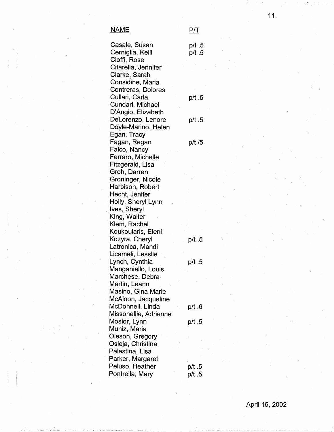## **NAME** P/T

Cioffi, Rose

Citarella, ~Jennifer Clarke, Sarah Considine, Maria Contreras, Dolores

Cundari, Michael

Casale, Susan p/t .5 Cerniglia, Kelli p/t .5

Cullari, Carla p/t .5

D'Angio, Elizabeth DeLorenzo, Lenore p/t .5 Doyle-Marino, Helen Egan, Tracy Fagan, Regan p/t /5 Falco, Nancy Ferraro, Michelle Fitzgerald, Lisa Groh, Darren Groninger, Nicole Harbison, Robert Hecht, Jenifer Holly, Sheryl Lynn Ives, Sheryl King, Walter Klem, Rachel Koukoularis, Eleni Kozyra, Cheryl p/t .5 Latronica, Mandi Licameli, Lesslie Lynch, Cynthia p/t .5 Manganiello, Louis Marchese, Debra Martin, Leann Masino, Gina Marie McAloon, Jacqueline McDonnell, Linda p/t .6 Missonellie, Adrienne Mosior, Lynn p/t .5 Muniz, Maria Oleson, Gregory Osieja, Christina Palestina, Lisa Parker, Margaret Peluso, Heather p/t.5 Pontrella, Mary p/t .5

 $+$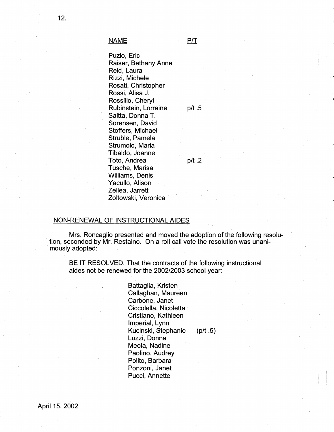NAME P/T

Puzio, Eric Raiser, Bethany Anne Reid, Laura Rizzi, Michele Rosati, Christopher Rossi, Alisa J. Rossillo, Cheryl Rubinstein, Lorraine p/t .5 Saitta, Donna T. Sorensen, David Stoffers, Michael Struble, Pamela Strumolo, Maria Tibaldo; Joanne Toto, Andrea p/t .2 Tusche, Marisa Williams. Denis Yacullo, Alison Zellea, Jarrett Zoltowski, Veronica

## NON-RENEWAL OF INSTRUCTIONAL AIDES

Mrs. Roncaglio presented and moved the adoption of the following resolu-. tion, seconded by Mr. Restaino. On a roll call vote the resolution was unani- . mously adopted:

BE IT RESOLVED, That the contracts of the following instructional aides not be renewed for the 2002/2003 school year:

> Battaglia, Kristen Callaghan, Maureen Carbone, Janet Ciccolella, Nicoletta Cristiano, Kathleen Imperial, Lynn Kucinski, Stephanie (p/t.5) Luzzi, Donna Meola, Nadine Paolino, Audrey Polito, Barbara· Ponzoni, Janet Pucci, Annette

I i '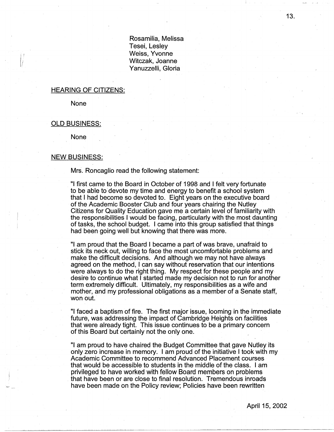Rosamilia, Melissa Tesei, Lesley Weiss, Yvonne Witczak, Joanne Yanuzzelli, Gloria

#### HEARING OF CITIZENS:

None

#### OLD BUSINESS:

None

### NEW BUSINESS:

Mrs. Roncaglio read the following statement:

"I first came to the Board in October of 1998 and I felt very fortunate to be able to devote my time and energy to benefit a school system that I had become so devoted to. Eight years on the executive board of the Academic Booster Club and four years chairing the Nutley Citizens for Quality Education gave me a certain level of familiarity with the responsibilities I would be facing, particularly with the most daunting of tasks, the school budget. I came into this group satisfied that things had been going well but knowing that there was more.

"I am proud that the Board I became a part of was brave, unafraid to stick its neck out, willing to face the most uncomfortable problems and make the difficult decisions. And although we may not have always agreed on the method, I can say without reservation that our intentions were always to do the right thing. My respect for these people and my desire to continue what I started made my decision not to run for another term extremely difficult. Ultimately, my responsibilities as a wife and mother, and my professional obligations as a member of a Senate staff, won out.

"I faced a baptism of fire. The first major issue, looming in the immediate future, was addressing the impact of Cambridge Heights on facilities that were already tight. This issue continues to be a primary concern of this Board but certainly not the only one.

"I am proud to have chaired the Budget Committee that gave Nutley its only zero increase in memory. I am proud of the initiative I took with my Academic Committee to recommend Advanced Placement courses that would be accessible to students in the middle of the class. I am privileged to have worked with fellow Board members on problems that have been or are close to final resolution. Tremendous inroads have been made on the Policy review; Policies have been rewritten